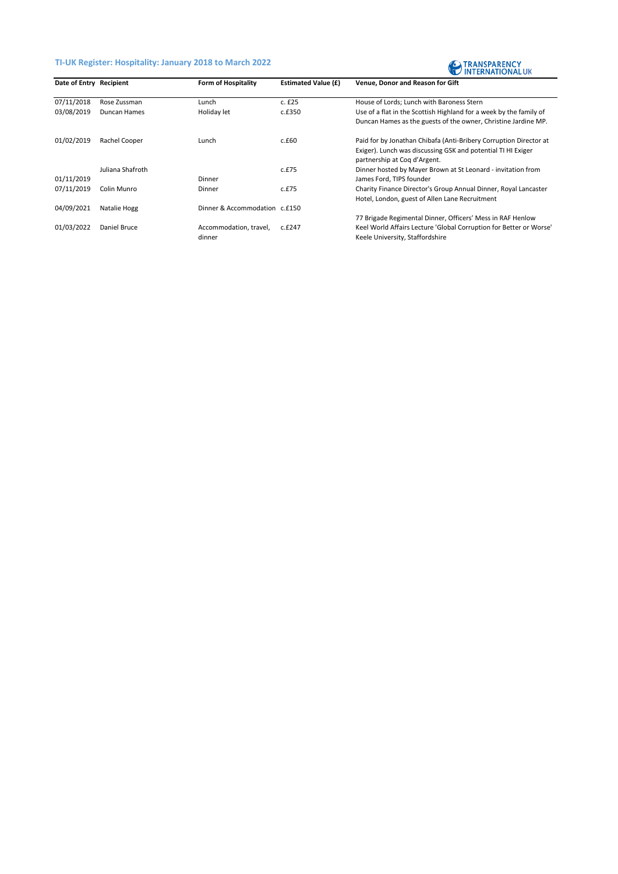## **TI-UK Register: Hospitality: January 2018 to March 2022**



| Date of Entry Recipient |                  | <b>Form of Hospitality</b>    | <b>Estimated Value (£)</b> | Venue, Donor and Reason for Gift                                                             |
|-------------------------|------------------|-------------------------------|----------------------------|----------------------------------------------------------------------------------------------|
| 07/11/2018              | Rose Zussman     | Lunch                         | c. f25                     | House of Lords; Lunch with Baroness Stern                                                    |
| 03/08/2019              | Duncan Hames     | Holiday let                   | c.f350                     | Use of a flat in the Scottish Highland for a week by the family of                           |
|                         |                  |                               |                            | Duncan Hames as the guests of the owner, Christine Jardine MP.                               |
| 01/02/2019              | Rachel Cooper    | Lunch                         | c.f60                      | Paid for by Jonathan Chibafa (Anti-Bribery Corruption Director at                            |
|                         |                  |                               |                            | Exiger). Lunch was discussing GSK and potential TI HI Exiger<br>partnership at Cog d'Argent. |
|                         | Juliana Shafroth |                               | c.f.75                     | Dinner hosted by Mayer Brown at St Leonard - invitation from                                 |
| 01/11/2019              |                  | Dinner                        |                            | James Ford, TIPS founder                                                                     |
| 07/11/2019              | Colin Munro      | Dinner                        | c.f.75                     | Charity Finance Director's Group Annual Dinner, Royal Lancaster                              |
|                         |                  |                               |                            | Hotel, London, guest of Allen Lane Recruitment                                               |
| 04/09/2021              | Natalie Hogg     | Dinner & Accommodation c.£150 |                            |                                                                                              |
|                         |                  |                               |                            | 77 Brigade Regimental Dinner, Officers' Mess in RAF Henlow                                   |
| 01/03/2022              | Daniel Bruce     | Accommodation, travel,        | c.£247                     | Keel World Affairs Lecture 'Global Corruption for Better or Worse'                           |
|                         |                  | dinner                        |                            | Keele University, Staffordshire                                                              |